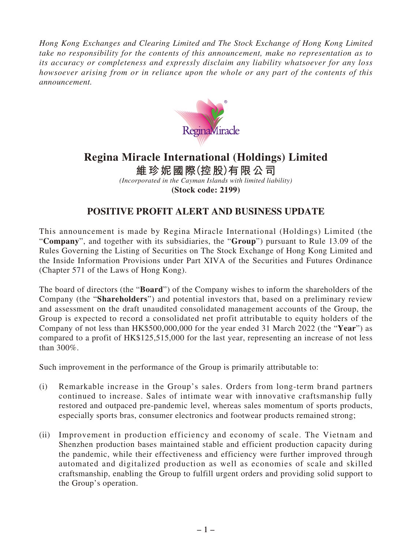*Hong Kong Exchanges and Clearing Limited and The Stock Exchange of Hong Kong Limited take no responsibility for the contents of this announcement, make no representation as to its accuracy or completeness and expressly disclaim any liability whatsoever for any loss howsoever arising from or in reliance upon the whole or any part of the contents of this announcement.*



## **Regina Miracle International (Holdings) Limited**

**維珍妮國際(控股)有限公司** *(Incorporated in the Cayman Islands with limited liability)* **(Stock code: 2199)**

## **POSITIVE PROFIT ALERT AND BUSINESS UPDATE**

This announcement is made by Regina Miracle International (Holdings) Limited (the "**Company**", and together with its subsidiaries, the "**Group**") pursuant to Rule 13.09 of the Rules Governing the Listing of Securities on The Stock Exchange of Hong Kong Limited and the Inside Information Provisions under Part XIVA of the Securities and Futures Ordinance (Chapter 571 of the Laws of Hong Kong).

The board of directors (the "**Board**") of the Company wishes to inform the shareholders of the Company (the "**Shareholders**") and potential investors that, based on a preliminary review and assessment on the draft unaudited consolidated management accounts of the Group, the Group is expected to record a consolidated net profit attributable to equity holders of the Company of not less than HK\$500,000,000 for the year ended 31 March 2022 (the "**Year**") as compared to a profit of HK\$125,515,000 for the last year, representing an increase of not less than 300%.

Such improvement in the performance of the Group is primarily attributable to:

- (i) Remarkable increase in the Group's sales. Orders from long-term brand partners continued to increase. Sales of intimate wear with innovative craftsmanship fully restored and outpaced pre-pandemic level, whereas sales momentum of sports products, especially sports bras, consumer electronics and footwear products remained strong;
- (ii) Improvement in production efficiency and economy of scale. The Vietnam and Shenzhen production bases maintained stable and efficient production capacity during the pandemic, while their effectiveness and efficiency were further improved through automated and digitalized production as well as economies of scale and skilled craftsmanship, enabling the Group to fulfill urgent orders and providing solid support to the Group's operation.